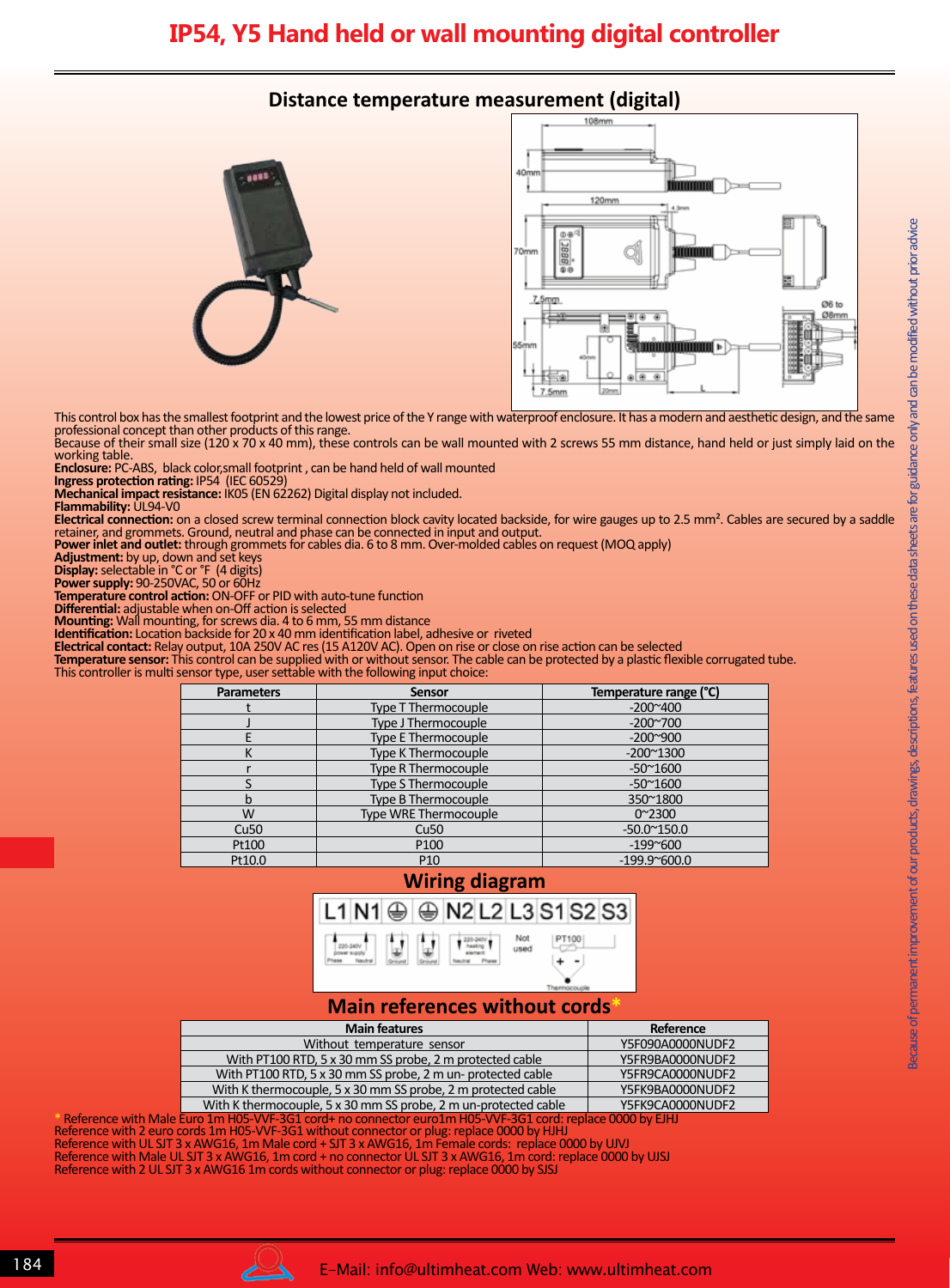# **IP54, Y5 Hand held or wall mounting digital controller**

# **Distance temperature measurement (digital)**





This control box has the smallest footprint and the lowest price of the Y range with waterproof enclosure. It has a modern and aesthetic design, and the same professional concept than other products of this range.

Because of their small size (120 x 70 x 40 mm), these controls can be wall mounted with 2 screws 55 mm distance, hand held or just simply laid on the working table.

**Enclosure:** PC-ABS, black color,small footprint , can be hand held of wall mounted

**Ingress protection rating:** IP54 (IEC 60529) **Mechanical impact resistance:** IK05 (EN 62262) Digital display not included.

**Flammability:** UL94-V0

Unless exceptionally specified by this logo , products and components in this catalogue are made by Ultimheat alliance members.

**Electrical connection:** on a closed screw terminal connection block cavity located backside, for wire gauges up to 2.5 mm². Cables are secured by a saddle retainer, and grommets. Ground, neutral and phase can be connected in input and output.

**Power inlet and outlet:** through grommets for cables dia. 6 to 8 mm. Over-molded cables on request (MOQ apply)

**Adjustment:** by up, down and set keys

**Display:** selectable in °C or °F (4 digits)

**Power supply:** 90-250VAC, 50 or 60Hz

**Temperature control action:** ON-OFF or PID with auto-tune function **Differential:** adjustable when on-Off action is selected

**Mounting:** Wall mounting, for screws dia. 4 to 6 mm, 55 mm distance

**Identification:** Location backside for 20 x 40 mm identification label, adhesive or riveted

**Electrical contact:** Relay output, 10A 250V AC res (15 A120V AC). Open on rise or close on rise action can be selected

**Temperature sensor:** This control can be supplied with or without sensor. The cable can be protected by a plastic flexible corrugated tube. This controller is multi sensor type, user settable with the following input choice:

| and a crip and additional continuity in the conduction of the condition of the condition of the condition of the condition of the condition of the condition of the condition of the condition of the condition of the conditi |                              |                        |  |  |  |  |
|--------------------------------------------------------------------------------------------------------------------------------------------------------------------------------------------------------------------------------|------------------------------|------------------------|--|--|--|--|
| <b>Parameters</b>                                                                                                                                                                                                              | <b>Sensor</b>                | Temperature range (°C) |  |  |  |  |
|                                                                                                                                                                                                                                | <b>Type T Thermocouple</b>   | $-200^{\circ}400$      |  |  |  |  |
|                                                                                                                                                                                                                                | Type J Thermocouple          | $-200^{\circ}700$      |  |  |  |  |
|                                                                                                                                                                                                                                | Type E Thermocouple          | $-200^{\circ}900$      |  |  |  |  |
| Κ                                                                                                                                                                                                                              | <b>Type K Thermocouple</b>   | $-200^{\circ}1300$     |  |  |  |  |
|                                                                                                                                                                                                                                | Type R Thermocouple          | $-50^{\circ}1600$      |  |  |  |  |
|                                                                                                                                                                                                                                | <b>Type S Thermocouple</b>   | $-50^{\circ}1600$      |  |  |  |  |
| b                                                                                                                                                                                                                              | Type B Thermocouple          | 350~1800               |  |  |  |  |
| W                                                                                                                                                                                                                              | <b>Type WRE Thermocouple</b> | $0^{\sim}2300$         |  |  |  |  |
| Cu <sub>50</sub>                                                                                                                                                                                                               | Cu <sub>50</sub>             | $-50.0^{\circ}150.0$   |  |  |  |  |
| Pt100                                                                                                                                                                                                                          | P <sub>100</sub>             | $-199^{\circ}600$      |  |  |  |  |
| Pt10.0                                                                                                                                                                                                                         | P <sub>10</sub>              | $-199.9^{\circ}600.0$  |  |  |  |  |

# **Wiring diagram**



## **Main references without cords\***

|                                                                                                          | <b>Main features</b>                                            | Reference        |  |  |
|----------------------------------------------------------------------------------------------------------|-----------------------------------------------------------------|------------------|--|--|
|                                                                                                          | Without temperature sensor                                      | Y5F090A0000NUDF2 |  |  |
|                                                                                                          | With PT100 RTD, 5 x 30 mm SS probe, 2 m protected cable         | Y5FR9BA0000NUDF2 |  |  |
|                                                                                                          | With PT100 RTD, 5 x 30 mm SS probe, 2 m un- protected cable     | Y5FR9CA0000NUDF2 |  |  |
|                                                                                                          | With K thermocouple, 5 x 30 mm SS probe, 2 m protected cable    | Y5FK9BA0000NUDF2 |  |  |
|                                                                                                          | With K thermocouple, 5 x 30 mm SS probe, 2 m un-protected cable | Y5FK9CA0000NUDF2 |  |  |
| Reference with Male Euro 1m H05-VVF-3G1 cord+ no connector euro1m H05-VVF-3G1 cord: replace 0000 by EJHJ |                                                                 |                  |  |  |

Reference with 2 euro cords 1m H05-VVF-3G1 without connector or plug: replace 0000 by HJHJ Reference with UL SJT 3 x AWG16, 1m Male cord + SJT 3 x AWG16, 1m Female cords: replace 0000 by UJVJ Reference with Male UL SJT 3 x AWG16, 1m cord + no connector UL SJT 3 x AWG16, 1m cord: replace 0000 by UJSJ Reference with 2 UL SJT 3 x AWG16 1m cords without connector or plug: replace 0000 by SJSJ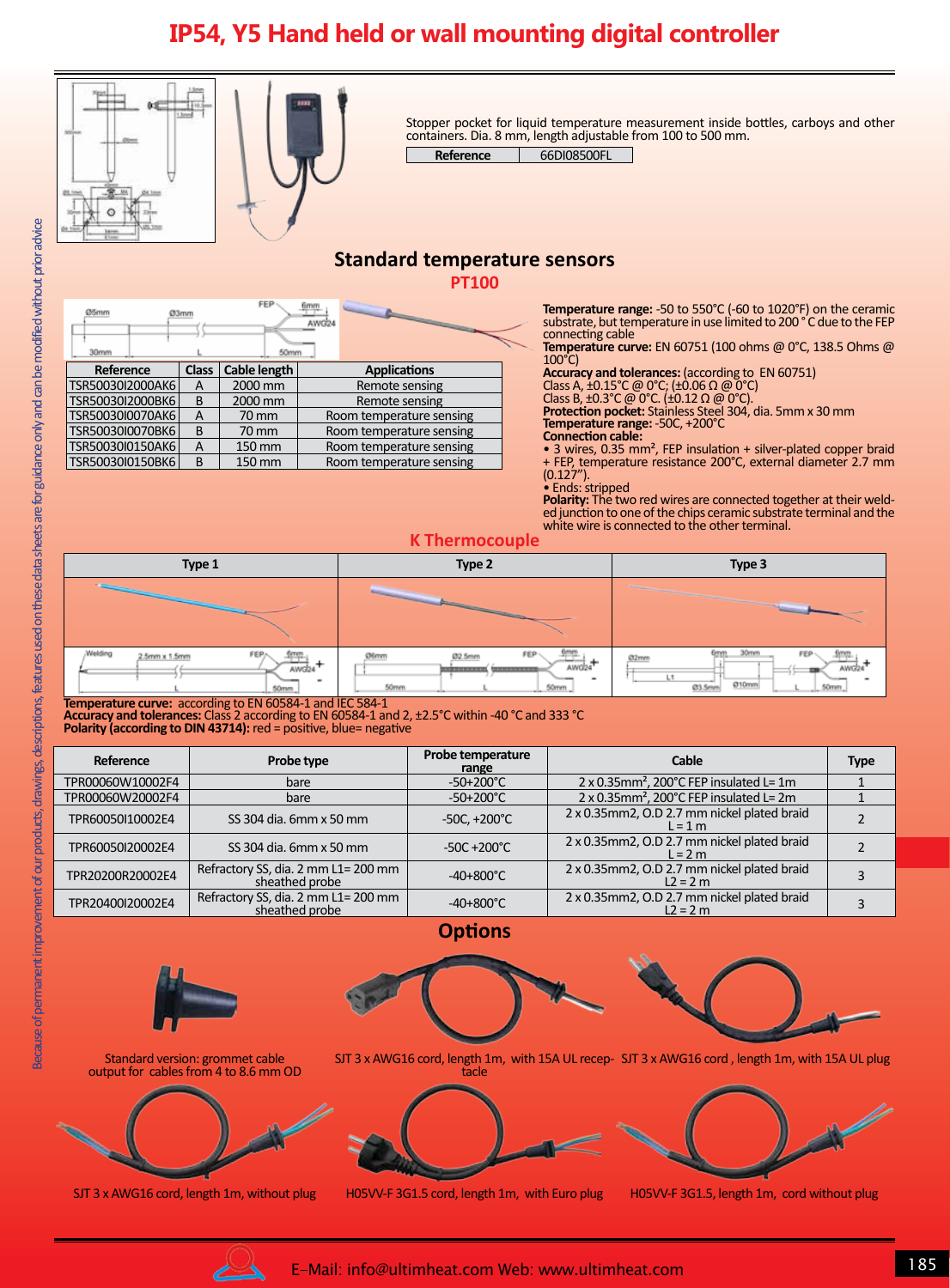# **IP54, Y5 Hand held or wall mounting digital controller**



Stopper pocket for liquid temperature measurement inside bottles, carboys and other containers. Dia. 8 mm, length adjustable from 100 to 500 mm.

Reference 66DI08500FL

# **Standard temperature sensors**

**PT100**

| 35mm<br>30mm     | Ø3mm         | FEP<br>50mm        | AWG24 |                          |
|------------------|--------------|--------------------|-------|--------------------------|
| Reference        | <b>Class</b> | Cable length       |       | <b>Applications</b>      |
| TSR50030I2000AK6 | А            | 2000 mm            |       | Remote sensing           |
| TSR50030I2000BK6 | B            | 2000 mm            |       | Remote sensing           |
| TSR50030I0070AK6 | A            | $70 \,\mathrm{mm}$ |       | Room temperature sensing |
| TSR50030I0070BK6 | B            | 70 mm              |       | Room temperature sensing |
| TSR50030I0150AK6 | А            | 150 mm             |       | Room temperature sensing |
| TSR50030I0150BK6 | B            | 150 mm             |       | Room temperature sensing |

**Temperature range:** -50 to 550°C (-60 to 1020°F) on the ceramic substrate, but temperature in use limited to 200 °C due to the FEP connecting cable

**Temperature curve:** EN 60751 (100 ohms @ 0°C, 138.5 Ohms @ 100°C)

**Accuracy and tolerances:** (according to EN 60751)

Class A,  $\pm 0.15^{\circ}$ C @ 0°C; ( $\pm 0.06$   $\Omega$  @ 0°C)

Class B,  $\pm 0.3^{\circ}$ C @ 0°C. ( $\pm 0.12$  Q @ 0°C).

**Protection pocket:** Stainless Steel 304, dia. 5mm x 30 mm **Temperature range:** -50C, +200°C

#### **Connection cable:**

• 3 wires, 0.35 mm<sup>2</sup>, FEP insulation + silver-plated copper braid + FEP, temperature resistance 200°C, external diameter 2.7 mm (0.127").

• Ends: stripped

**Polarity:** The two red wires are connected together at their weld- ed junction to one of the chips ceramic substrate terminal and the white wire is connected to the other terminal.

### **K Thermocouple**



**Temperature curve:** according to EN 60584-1 and IEC 584-1

**Accuracy and tolerances:** Class 2 according to EN 60584-1 and 2, ±2.5°C within -40 °C and 333 °C

**Polarity (according to DIN 43714):** red = positive, blue= negative

| Reference        | Probe type                                            | Probe temperature<br>range | Cable                                                       | <b>Type</b> |
|------------------|-------------------------------------------------------|----------------------------|-------------------------------------------------------------|-------------|
| TPR00060W10002F4 | bare                                                  | $-50+200^{\circ}$ C        | $2 \times 0.35$ mm <sup>2</sup> , 200°C FEP insulated L= 1m |             |
| TPR00060W20002F4 | bare                                                  | $-50+200^{\circ}$ C        | $2 \times 0.35$ mm <sup>2</sup> , 200°C FEP insulated L= 2m |             |
| TPR60050I10002E4 | SS 304 dia. 6mm x 50 mm                               | $-50C, +200^{\circ}C$      | 2 x 0.35mm2, O.D 2.7 mm nickel plated braid<br>$L = 1$ m    |             |
| TPR60050I20002E4 | SS 304 dia, 6mm x 50 mm                               | $-50C + 200^{\circ}C$      | 2 x 0.35mm2, O.D 2.7 mm nickel plated braid<br>$l = 2m$     |             |
| TPR20200R20002E4 | Refractory SS, dia. 2 mm L1= 200 mm<br>sheathed probe | $-40+800^{\circ}$ C        | 2 x 0.35mm2, O.D 2.7 mm nickel plated braid<br>$L2 = 2 m$   |             |
| TPR20400I20002E4 | Refractory SS, dia. 2 mm L1= 200 mm<br>sheathed probe | $-40+800^{\circ}$ C        | 2 x 0.35mm2, O.D 2.7 mm nickel plated braid<br>$L2 = 2 m$   |             |

## **Options**



Standard version: grommet cable output for cables from 4 to 8.6 mm OD







SJT 3 x AWG16 cord, length 1m, without plug H05VV-F 3G1.5 cord, length 1m, with Euro plug H05VV-F 3G1.5, length 1m, cord without plug



Unless exceptionally specified by this logo , products and components in this catalogue are made by Ultimheat alliance members.